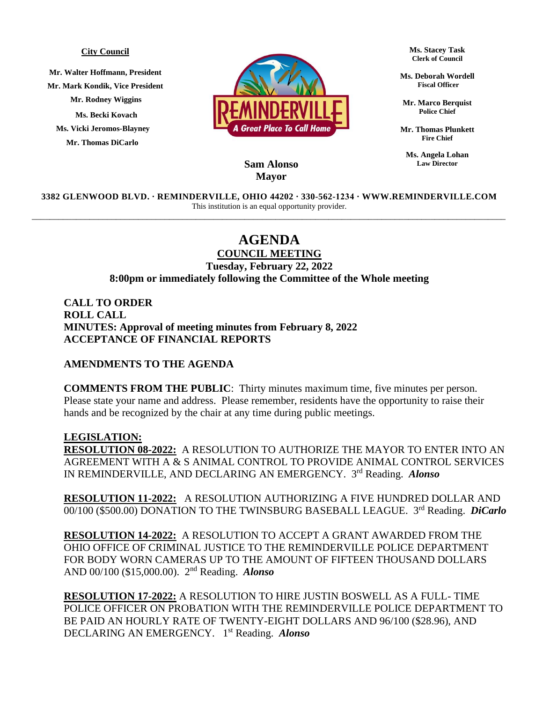## **City Council**

**Mr. Walter Hoffmann, President Mr. Mark Kondik, Vice President Mr. Rodney Wiggins Ms. Becki Kovach Ms. Vicki Jeromos-Blayney Mr. Thomas DiCarlo**



**Ms. Stacey Task Clerk of Council**

**Ms. Deborah Wordell Fiscal Officer**

**Mr. Marco Berquist Police Chief**

**Mr. Thomas Plunkett Fire Chief**

**Ms. Angela Lohan Law Director**

## **Sam Alonso Mayor**

**3382 GLENWOOD BLVD. ∙ REMINDERVILLE, OHIO 44202 ∙ 330-562-1234 ∙ WWW.REMINDERVILLE.COM**  This institution is an equal opportunity provider. \_\_\_\_\_\_\_\_\_\_\_\_\_\_\_\_\_\_\_\_\_\_\_\_\_\_\_\_\_\_\_\_\_\_\_\_\_\_\_\_\_\_\_\_\_\_\_\_\_\_\_\_\_\_\_\_\_\_\_\_\_\_\_\_\_\_\_\_\_\_\_\_\_\_\_\_\_\_\_\_\_\_\_\_\_\_\_\_\_\_\_\_\_\_\_\_\_\_\_\_\_\_\_\_\_\_\_

## **AGENDA**

**COUNCIL MEETING Tuesday, February 22, 2022 8:00pm or immediately following the Committee of the Whole meeting**

**CALL TO ORDER ROLL CALL MINUTES: Approval of meeting minutes from February 8, 2022 ACCEPTANCE OF FINANCIAL REPORTS**

## **AMENDMENTS TO THE AGENDA**

**COMMENTS FROM THE PUBLIC**: Thirty minutes maximum time, five minutes per person. Please state your name and address. Please remember, residents have the opportunity to raise their hands and be recognized by the chair at any time during public meetings.

**LEGISLATION: RESOLUTION 08-2022:** A RESOLUTION TO AUTHORIZE THE MAYOR TO ENTER INTO AN AGREEMENT WITH A & S ANIMAL CONTROL TO PROVIDE ANIMAL CONTROL SERVICES IN REMINDERVILLE, AND DECLARING AN EMERGENCY. 3<sup>rd</sup> Reading. *Alonso* 

**RESOLUTION 11-2022:** A RESOLUTION AUTHORIZING A FIVE HUNDRED DOLLAR AND 00/100 (\$500.00) DONATION TO THE TWINSBURG BASEBALL LEAGUE. 3rd Reading. *DiCarlo*

**RESOLUTION 14-2022:** A RESOLUTION TO ACCEPT A GRANT AWARDED FROM THE OHIO OFFICE OF CRIMINAL JUSTICE TO THE REMINDERVILLE POLICE DEPARTMENT FOR BODY WORN CAMERAS UP TO THE AMOUNT OF FIFTEEN THOUSAND DOLLARS AND 00/100 (\$15,000.00). 2 nd Reading. *Alonso*

**RESOLUTION 17-2022:** A RESOLUTION TO HIRE JUSTIN BOSWELL AS A FULL- TIME POLICE OFFICER ON PROBATION WITH THE REMINDERVILLE POLICE DEPARTMENT TO BE PAID AN HOURLY RATE OF TWENTY-EIGHT DOLLARS AND 96/100 (\$28.96), AND DECLARING AN EMERGENCY. 1 st Reading. *Alonso*